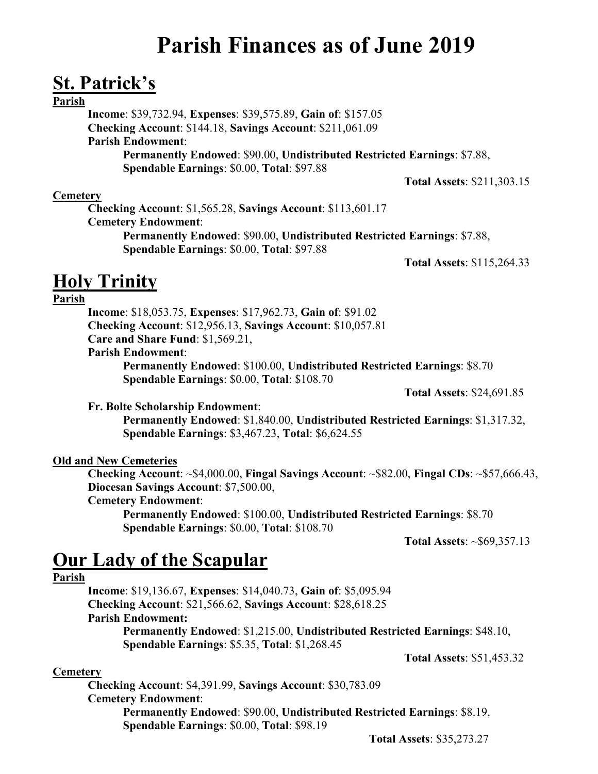# **Parish Finances as of June 2019**

### **St. Patrick's**

### **Parish**

**Income**: \$39,732.94, **Expenses**: \$39,575.89, **Gain of**: \$157.05 **Checking Account**: \$144.18, **Savings Account**: \$211,061.09 **Parish Endowment**: **Permanently Endowed**: \$90.00, **Undistributed Restricted Earnings**: \$7.88, **Spendable Earnings**: \$0.00, **Total**: \$97.88

**Total Assets**: \$211,303.15

### **Cemetery**

**Checking Account**: \$1,565.28, **Savings Account**: \$113,601.17 **Cemetery Endowment**: **Permanently Endowed**: \$90.00, **Undistributed Restricted Earnings**: \$7.88, **Spendable Earnings**: \$0.00, **Total**: \$97.88

**Total Assets**: \$115,264.33

### **Holy Trinity**

### **Parish**

**Income**: \$18,053.75, **Expenses**: \$17,962.73, **Gain of**: \$91.02 **Checking Account**: \$12,956.13, **Savings Account**: \$10,057.81 **Care and Share Fund**: \$1,569.21,

**Parish Endowment**:

**Permanently Endowed**: \$100.00, **Undistributed Restricted Earnings**: \$8.70 **Spendable Earnings**: \$0.00, **Total**: \$108.70

**Total Assets**: \$24,691.85

**Fr. Bolte Scholarship Endowment**:

**Permanently Endowed**: \$1,840.00, **Undistributed Restricted Earnings**: \$1,317.32, **Spendable Earnings**: \$3,467.23, **Total**: \$6,624.55

### **Old and New Cemeteries**

**Checking Account**: ~\$4,000.00, **Fingal Savings Account**: ~\$82.00, **Fingal CDs**: ~\$57,666.43, **Diocesan Savings Account**: \$7,500.00,

### **Cemetery Endowment**:

**Permanently Endowed**: \$100.00, **Undistributed Restricted Earnings**: \$8.70 **Spendable Earnings**: \$0.00, **Total**: \$108.70

**Total Assets**: ~\$69,357.13

## **Our Lady of the Scapular**

#### **Parish**

**Income**: \$19,136.67, **Expenses**: \$14,040.73, **Gain of**: \$5,095.94 **Checking Account**: \$21,566.62, **Savings Account**: \$28,618.25 **Parish Endowment: Permanently Endowed**: \$1,215.00, **Undistributed Restricted Earnings**: \$48.10, **Spendable Earnings**: \$5.35, **Total**: \$1,268.45 **Total Assets**: \$51,453.32

**Cemetery**

**Checking Account**: \$4,391.99, **Savings Account**: \$30,783.09 **Cemetery Endowment**:

**Permanently Endowed**: \$90.00, **Undistributed Restricted Earnings**: \$8.19, **Spendable Earnings**: \$0.00, **Total**: \$98.19

**Total Assets**: \$35,273.27